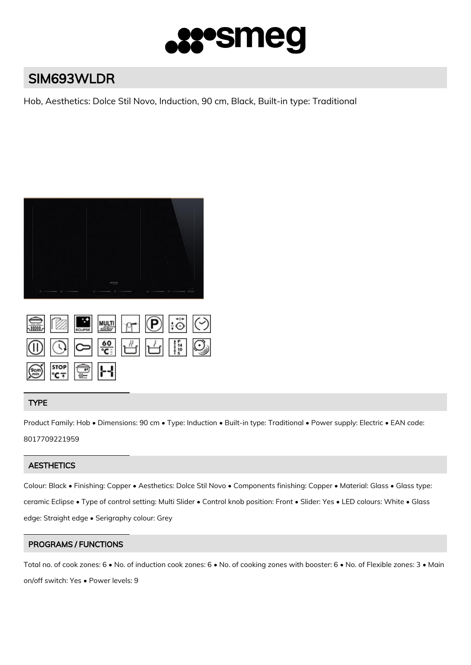

# SIM693WLDR

Hob, Aesthetics: Dolce Stil Novo, Induction, 90 cm, Black, Built-in type: Traditional



|                                                |  |  | SE ME MULT T DIGIT                                          |  |
|------------------------------------------------|--|--|-------------------------------------------------------------|--|
|                                                |  |  | $\circledS$ $\circledS$ $\circledS$ $\circledS$ $\circledS$ |  |
| $\frac{\sqrt{100}}{\sqrt{100}}$ stop stop stop |  |  |                                                             |  |

## TYPE

Product Family: Hob • Dimensions: 90 cm • Type: Induction • Built-in type: Traditional • Power supply: Electric • EAN code: 8017709221959

## **AESTHETICS**

Colour: Black • Finishing: Copper • Aesthetics: Dolce Stil Novo • Components finishing: Copper • Material: Glass • Glass type: ceramic Eclipse • Type of control setting: Multi Slider • Control knob position: Front • Slider: Yes • LED colours: White • Glass edge: Straight edge • Serigraphy colour: Grey

## PROGRAMS / FUNCTIONS

Total no. of cook zones: 6 • No. of induction cook zones: 6 • No. of cooking zones with booster: 6 • No. of Flexible zones: 3 • Main on/off switch: Yes • Power levels: 9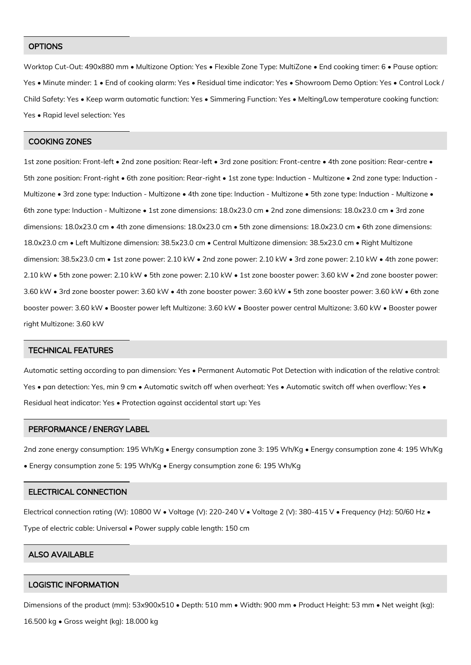#### **OPTIONS**

Worktop Cut-Out: 490x880 mm • Multizone Option: Yes • Flexible Zone Type: MultiZone • End cooking timer: 6 • Pause option: Yes • Minute minder: 1 • End of cooking alarm: Yes • Residual time indicator: Yes • Showroom Demo Option: Yes • Control Lock / Child Safety: Yes • Keep warm automatic function: Yes • Simmering Function: Yes • Melting/Low temperature cooking function: Yes • Rapid level selection: Yes

#### COOKING ZONES

1st zone position: Front-left • 2nd zone position: Rear-left • 3rd zone position: Front-centre • 4th zone position: Rear-centre • 5th zone position: Front-right • 6th zone position: Rear-right • 1st zone type: Induction - Multizone • 2nd zone type: Induction - Multizone • 3rd zone type: Induction - Multizone • 4th zone tipe: Induction - Multizone • 5th zone type: Induction - Multizone • 6th zone type: Induction - Multizone • 1st zone dimensions: 18.0x23.0 cm • 2nd zone dimensions: 18.0x23.0 cm • 3rd zone dimensions: 18.0x23.0 cm • 4th zone dimensions: 18.0x23.0 cm • 5th zone dimensions: 18.0x23.0 cm • 6th zone dimensions: 18.0x23.0 cm • Left Multizone dimension: 38.5x23.0 cm • Central Multizone dimension: 38.5x23.0 cm • Right Multizone dimension: 38.5x23.0 cm • 1st zone power: 2.10 kW • 2nd zone power: 2.10 kW • 3rd zone power: 2.10 kW • 4th zone power: 2.10 kW • 5th zone power: 2.10 kW • 5th zone power: 2.10 kW • 1st zone booster power: 3.60 kW • 2nd zone booster power: 3.60 kW • 3rd zone booster power: 3.60 kW • 4th zone booster power: 3.60 kW • 5th zone booster power: 3.60 kW • 6th zone booster power: 3.60 kW • Booster power left Multizone: 3.60 kW • Booster power central Multizone: 3.60 kW • Booster power right Multizone: 3.60 kW

#### TECHNICAL FEATURES

Automatic setting according to pan dimension: Yes • Permanent Automatic Pot Detection with indication of the relative control: Yes • pan detection: Yes, min 9 cm • Automatic switch off when overheat: Yes • Automatic switch off when overflow: Yes • Residual heat indicator: Yes • Protection against accidental start up: Yes

#### PERFORMANCE / ENERGY LABEL

2nd zone energy consumption: 195 Wh/Kg • Energy consumption zone 3: 195 Wh/Kg • Energy consumption zone 4: 195 Wh/Kg • Energy consumption zone 5: 195 Wh/Kg • Energy consumption zone 6: 195 Wh/Kg

#### ELECTRICAL CONNECTION

Electrical connection rating (W): 10800 W • Voltage (V): 220-240 V • Voltage 2 (V): 380-415 V • Frequency (Hz): 50/60 Hz •

Type of electric cable: Universal • Power supply cable length: 150 cm

### ALSO AVAILABLE

#### LOGISTIC INFORMATION

Dimensions of the product (mm): 53x900x510 • Depth: 510 mm • Width: 900 mm • Product Height: 53 mm • Net weight (kg):

16.500 kg • Gross weight (kg): 18.000 kg